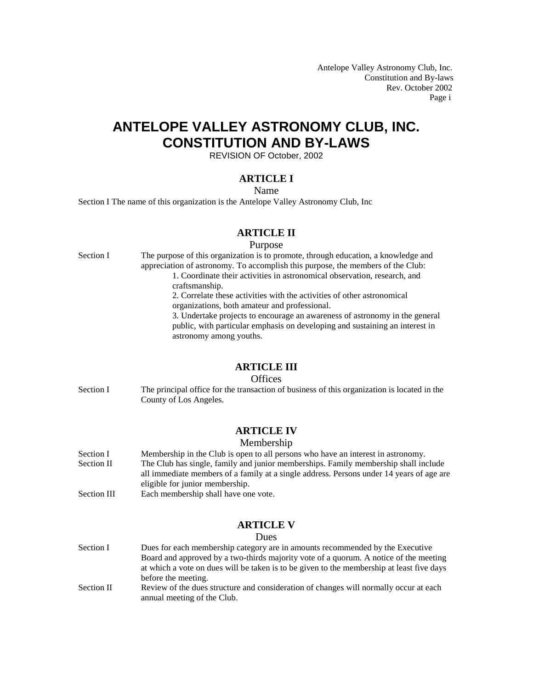Antelope Valley Astronomy Club, Inc. Constitution and By-laws Rev. October 2002 Page i

# **ANTELOPE VALLEY ASTRONOMY CLUB, INC. CONSTITUTION AND BY-LAWS**

REVISION OF October, 2002

## **ARTICLE I**

### Name

Section I The name of this organization is the Antelope Valley Astronomy Club, Inc

## **ARTICLE II**

#### Purpose

Section I The purpose of this organization is to promote, through education, a knowledge and appreciation of astronomy. To accomplish this purpose, the members of the Club: 1. Coordinate their activities in astronomical observation, research, and craftsmanship. 2. Correlate these activities with the activities of other astronomical organizations, both amateur and professional. 3. Undertake projects to encourage an awareness of astronomy in the general public, with particular emphasis on developing and sustaining an interest in astronomy among youths.

### **ARTICLE III**

### **Offices**

Section I The principal office for the transaction of business of this organization is located in the County of Los Angeles.

### **ARTICLE IV**

### Membership

- Section I Membership in the Club is open to all persons who have an interest in astronomy. Section II The Club has single, family and junior memberships. Family membership shall include all immediate members of a family at a single address. Persons under 14 years of age are eligible for junior membership.
- Section III Each membership shall have one vote.

### **ARTICLE V**

#### Dues

- Section I Dues for each membership category are in amounts recommended by the Executive Board and approved by a two-thirds majority vote of a quorum. A notice of the meeting at which a vote on dues will be taken is to be given to the membership at least five days before the meeting. Section II Review of the dues structure and consideration of changes will normally occur at each
- annual meeting of the Club.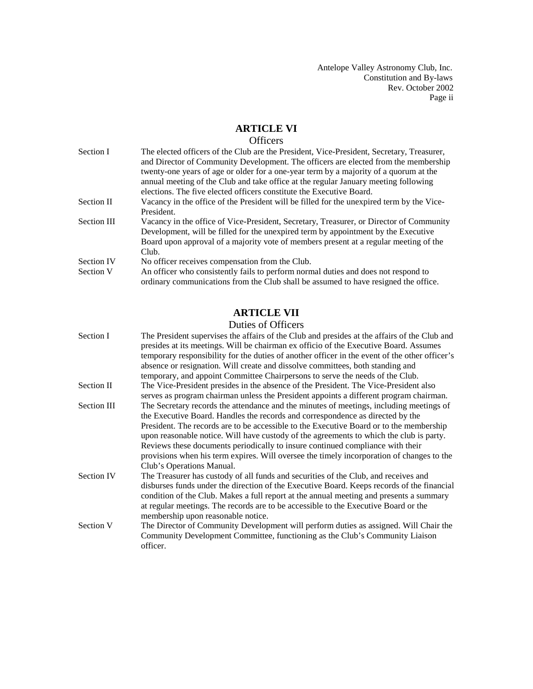Antelope Valley Astronomy Club, Inc. Constitution and By-laws Rev. October 2002 Page ii

# **ARTICLE VI**

# **Officers**

| Section I          | The elected officers of the Club are the President, Vice-President, Secretary, Treasurer,                                                                                 |
|--------------------|---------------------------------------------------------------------------------------------------------------------------------------------------------------------------|
|                    | and Director of Community Development. The officers are elected from the membership                                                                                       |
|                    | twenty-one years of age or older for a one-year term by a majority of a quorum at the                                                                                     |
|                    | annual meeting of the Club and take office at the regular January meeting following                                                                                       |
|                    | elections. The five elected officers constitute the Executive Board.                                                                                                      |
| Section II         | Vacancy in the office of the President will be filled for the unexpired term by the Vice-                                                                                 |
|                    | President.                                                                                                                                                                |
| <b>Section III</b> | Vacancy in the office of Vice-President, Secretary, Treasurer, or Director of Community                                                                                   |
|                    | Development, will be filled for the unexpired term by appointment by the Executive                                                                                        |
|                    | Board upon approval of a majority vote of members present at a regular meeting of the                                                                                     |
|                    | Club.                                                                                                                                                                     |
| <b>Section IV</b>  | No officer receives compensation from the Club.                                                                                                                           |
| Section V          | An officer who consistently fails to perform normal duties and does not respond to<br>ordinary communications from the Club shall be assumed to have resigned the office. |

# **ARTICLE VII**

# Duties of Officers

| Section I   | The President supervises the affairs of the Club and presides at the affairs of the Club and<br>presides at its meetings. Will be chairman ex officio of the Executive Board. Assumes |
|-------------|---------------------------------------------------------------------------------------------------------------------------------------------------------------------------------------|
|             |                                                                                                                                                                                       |
|             | temporary responsibility for the duties of another officer in the event of the other officer's                                                                                        |
|             | absence or resignation. Will create and dissolve committees, both standing and                                                                                                        |
|             | temporary, and appoint Committee Chairpersons to serve the needs of the Club.                                                                                                         |
| Section II  | The Vice-President presides in the absence of the President. The Vice-President also                                                                                                  |
|             | serves as program chairman unless the President appoints a different program chairman.                                                                                                |
| Section III | The Secretary records the attendance and the minutes of meetings, including meetings of                                                                                               |
|             | the Executive Board. Handles the records and correspondence as directed by the                                                                                                        |
|             | President. The records are to be accessible to the Executive Board or to the membership<br>upon reasonable notice. Will have custody of the agreements to which the club is party.    |
|             | Reviews these documents periodically to insure continued compliance with their                                                                                                        |
|             | provisions when his term expires. Will oversee the timely incorporation of changes to the                                                                                             |
|             | Club's Operations Manual.                                                                                                                                                             |
| Section IV  | The Treasurer has custody of all funds and securities of the Club, and receives and                                                                                                   |
|             | disburses funds under the direction of the Executive Board. Keeps records of the financial<br>condition of the Club. Makes a full report at the annual meeting and presents a summary |
|             | at regular meetings. The records are to be accessible to the Executive Board or the                                                                                                   |
|             | membership upon reasonable notice.                                                                                                                                                    |
| Section V   | The Director of Community Development will perform duties as assigned. Will Chair the                                                                                                 |
|             | Community Development Committee, functioning as the Club's Community Liaison                                                                                                          |
|             | officer.                                                                                                                                                                              |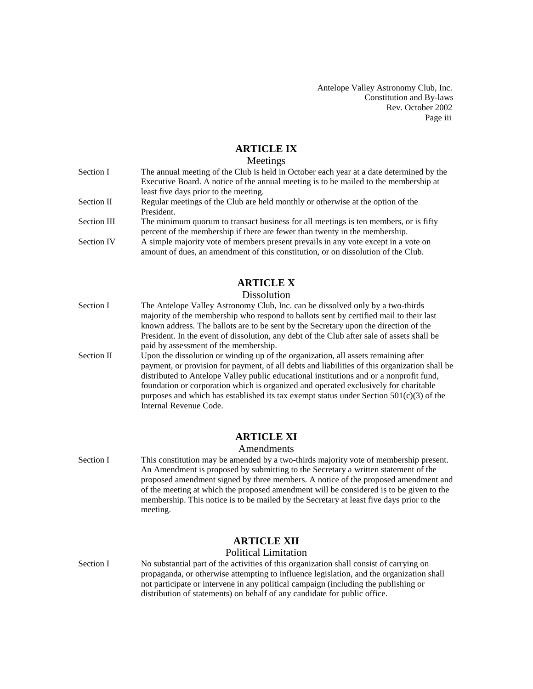Antelope Valley Astronomy Club, Inc. Constitution and By-laws Rev. October 2002 Page iii

# **ARTICLE IX**

### Meetings

| Section I         | The annual meeting of the Club is held in October each year at a date determined by the |
|-------------------|-----------------------------------------------------------------------------------------|
|                   | Executive Board. A notice of the annual meeting is to be mailed to the membership at    |
|                   | least five days prior to the meeting.                                                   |
| Section II        | Regular meetings of the Club are held monthly or otherwise at the option of the         |
|                   | President.                                                                              |
| Section III       | The minimum quorum to transact business for all meetings is ten members, or is fifty    |
|                   | percent of the membership if there are fewer than twenty in the membership.             |
| <b>Section IV</b> | A simple majority vote of members present prevails in any vote except in a vote on      |
|                   | amount of dues, an amendment of this constitution, or on dissolution of the Club.       |

# **ARTICLE X**

### Dissolution

- Section I The Antelope Valley Astronomy Club, Inc. can be dissolved only by a two-thirds majority of the membership who respond to ballots sent by certified mail to their last known address. The ballots are to be sent by the Secretary upon the direction of the President. In the event of dissolution, any debt of the Club after sale of assets shall be paid by assessment of the membership.
- Section II Upon the dissolution or winding up of the organization, all assets remaining after payment, or provision for payment, of all debts and liabilities of this organization shall be distributed to Antelope Valley public educational institutions and or a nonprofit fund, foundation or corporation which is organized and operated exclusively for charitable purposes and which has established its tax exempt status under Section  $501(c)(3)$  of the Internal Revenue Code.

### **ARTICLE XI**

#### Amendments

Section I This constitution may be amended by a two-thirds majority vote of membership present. An Amendment is proposed by submitting to the Secretary a written statement of the proposed amendment signed by three members. A notice of the proposed amendment and of the meeting at which the proposed amendment will be considered is to be given to the membership. This notice is to be mailed by the Secretary at least five days prior to the meeting.

### **ARTICLE XII**

#### Political Limitation

Section I No substantial part of the activities of this organization shall consist of carrying on propaganda, or otherwise attempting to influence legislation, and the organization shall not participate or intervene in any political campaign (including the publishing or distribution of statements) on behalf of any candidate for public office.